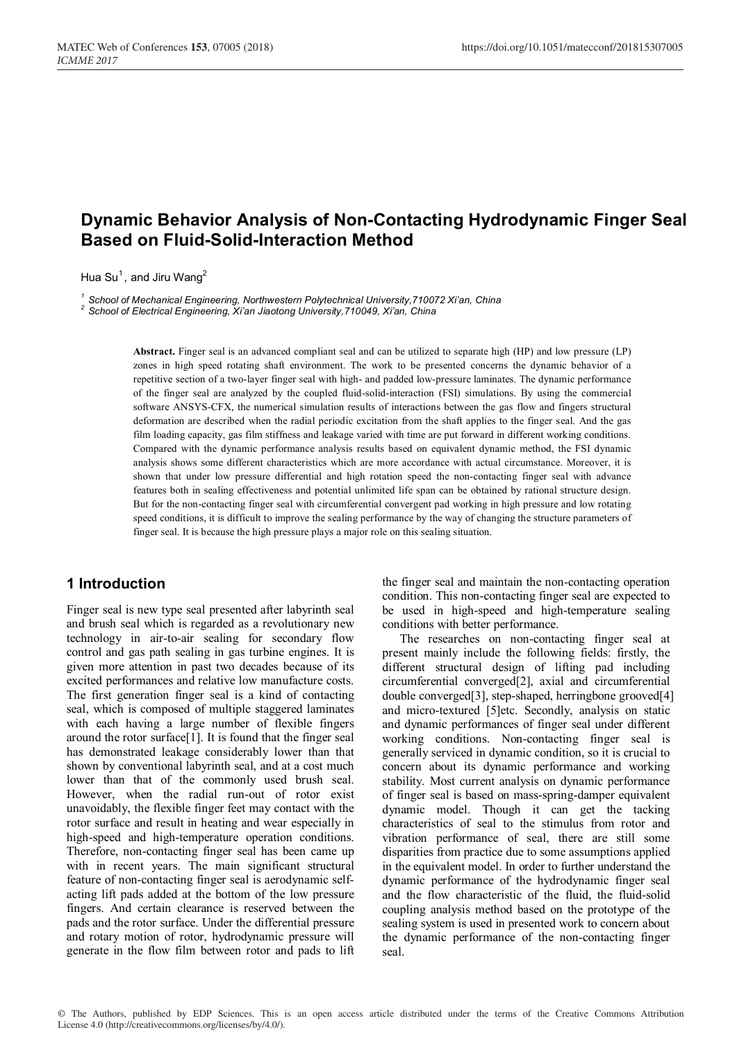# **Dynamic Behavior Analysis of Non-Contacting Hydrodynamic Finger Seal Based on Fluid-Solid-Interaction Method**

Hua Su<sup>1</sup>, and Jiru Wang<sup>2</sup>

*<sup>1</sup> School of Mechanical Engineering, Northwestern Polytechnical University,710072 Xi'an, China <sup>2</sup> School of Electrical Engineering, Xi'an Jiaotong University,710049, Xi'an, China*

**Abstract.** Finger seal is an advanced compliant seal and can be utilized to separate high (HP) and low pressure (LP) zones in high speed rotating shaft environment. The work to be presented concerns the dynamic behavior of a repetitive section of a two-layer finger seal with high- and padded low-pressure laminates. The dynamic performance of the finger seal are analyzed by the coupled fluid-solid-interaction (FSI) simulations. By using the commercial software ANSYS-CFX, the numerical simulation results of interactions between the gas flow and fingers structural deformation are described when the radial periodic excitation from the shaft applies to the finger seal. And the gas film loading capacity, gas film stiffness and leakage varied with time are put forward in different working conditions. Compared with the dynamic performance analysis results based on equivalent dynamic method, the FSI dynamic analysis shows some different characteristics which are more accordance with actual circumstance. Moreover, it is shown that under low pressure differential and high rotation speed the non-contacting finger seal with advance features both in sealing effectiveness and potential unlimited life span can be obtained by rational structure design. But for the non-contacting finger seal with circumferential convergent pad working in high pressure and low rotating speed conditions, it is difficult to improve the sealing performance by the way of changing the structure parameters of finger seal. It is because the high pressure plays a major role on this sealing situation.

# **1 Introduction**

Finger seal is new type seal presented after labyrinth seal and brush seal which is regarded as a revolutionary new technology in air-to-air sealing for secondary flow control and gas path sealing in gas turbine engines. It is given more attention in past two decades because of its excited performances and relative low manufacture costs. The first generation finger seal is a kind of contacting seal, which is composed of multiple staggered laminates with each having a large number of flexible fingers around the rotor surface[1]. It is found that the finger seal has demonstrated leakage considerably lower than that shown by conventional labyrinth seal, and at a cost much lower than that of the commonly used brush seal. However, when the radial run-out of rotor exist unavoidably, the flexible finger feet may contact with the rotor surface and result in heating and wear especially in high-speed and high-temperature operation conditions. Therefore, non-contacting finger seal has been came up with in recent years. The main significant structural feature of non-contacting finger seal is aerodynamic selfacting lift pads added at the bottom of the low pressure fingers. And certain clearance is reserved between the pads and the rotor surface. Under the differential pressure and rotary motion of rotor, hydrodynamic pressure will generate in the flow film between rotor and pads to lift the finger seal and maintain the non-contacting operation condition. This non-contacting finger seal are expected to be used in high-speed and high-temperature sealing conditions with better performance.

The researches on non-contacting finger seal at present mainly include the following fields: firstly, the different structural design of lifting pad including circumferential converged[2], axial and circumferential double converged[3], step-shaped, herringbone grooved[4] and micro-textured [5]etc. Secondly, analysis on static and dynamic performances of finger seal under different working conditions. Non-contacting finger seal is generally serviced in dynamic condition, so it is crucial to concern about its dynamic performance and working stability. Most current analysis on dynamic performance of finger seal is based on mass-spring-damper equivalent dynamic model. Though it can get the tacking characteristics of seal to the stimulus from rotor and vibration performance of seal, there are still some disparities from practice due to some assumptions applied in the equivalent model. In order to further understand the dynamic performance of the hydrodynamic finger seal and the flow characteristic of the fluid, the fluid-solid coupling analysis method based on the prototype of the sealing system is used in presented work to concern about the dynamic performance of the non-contacting finger seal.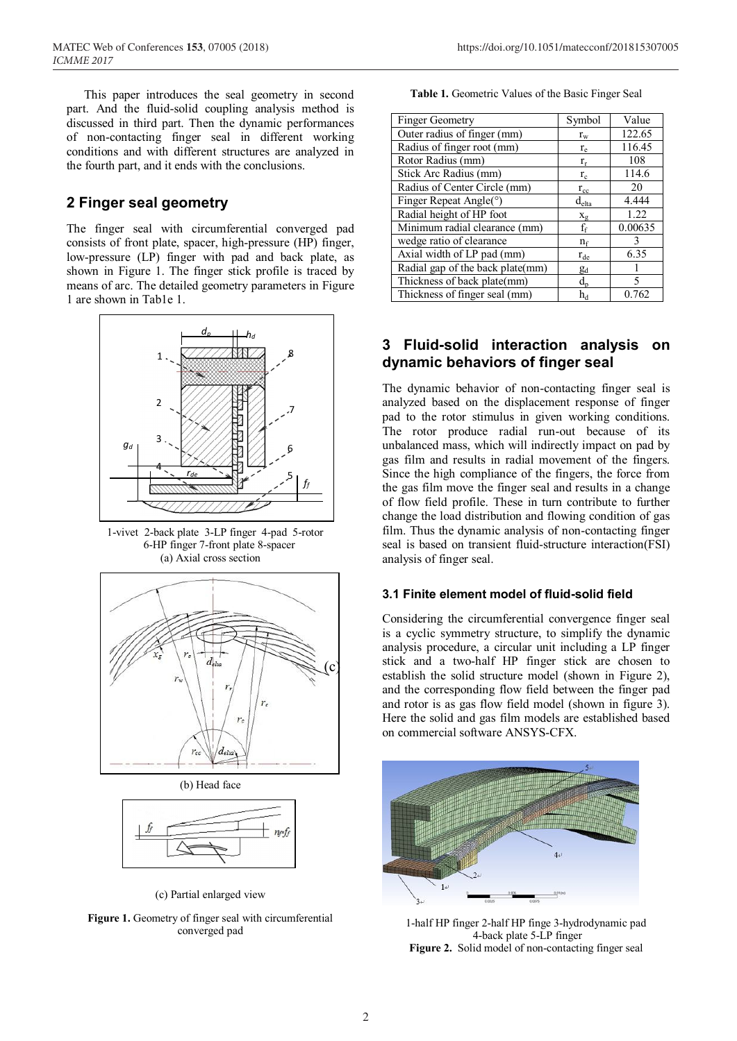This paper introduces the seal geometry in second part. And the fluid-solid coupling analysis method is discussed in third part. Then the dynamic performances of non-contacting finger seal in different working conditions and with different structures are analyzed in the fourth part, and it ends with the conclusions.

# **2 Finger seal geometry**

The finger seal with circumferential converged pad consists of front plate, spacer, high-pressure (HP) finger, low-pressure (LP) finger with pad and back plate, as shown in Figure 1. The finger stick profile is traced by means of arc. The detailed geometry parameters in Figure 1 are shown in Tab1e 1.



1-vivet 2-back plate 3-LP finger 4-pad 5-rotor 6-HP finger 7-front plate 8-spacer (a) Axial cross section







(c) Partial enlarged view

**Figure 1.** Geometry of finger seal with circumferential converged pad

|  | <b>Table 1.</b> Geometric Values of the Basic Finger Seal |  |  |  |  |  |
|--|-----------------------------------------------------------|--|--|--|--|--|
|--|-----------------------------------------------------------|--|--|--|--|--|

| <b>Finger Geometry</b>           | Symbol                        | Value   |
|----------------------------------|-------------------------------|---------|
| Outer radius of finger (mm)      | $r_{\rm w}$                   | 122.65  |
| Radius of finger root (mm)       | $r_{e}$                       | 116.45  |
| Rotor Radius (mm)                | $r_r$                         | 108     |
| Stick Arc Radius (mm)            | $r_c$                         | 114.6   |
| Radius of Center Circle (mm)     | $r_{\rm cc}$                  | 20      |
| Finger Repeat Angle(°)           | $d_{e\underline{\text{lta}}}$ | 4.444   |
| Radial height of HP foot         | $X_{\alpha}$                  | 1.22    |
| Minimum radial clearance (mm)    | $f_f$                         | 0.00635 |
| wedge ratio of clearance         | $n_f$                         |         |
| Axial width of LP pad (mm)       | $r_{de}$                      | 6.35    |
| Radial gap of the back plate(mm) | $g_d$                         |         |
| Thickness of back plate(mm)      | $d_{p}$                       | 5       |
| Thickness of finger seal (mm)    | ha                            | 0.762   |

# **3 Fluid-solid interaction analysis on dynamic behaviors of finger seal**

The dynamic behavior of non-contacting finger seal is analyzed based on the displacement response of finger pad to the rotor stimulus in given working conditions. The rotor produce radial run-out because of its unbalanced mass, which will indirectly impact on pad by gas film and results in radial movement of the fingers. Since the high compliance of the fingers, the force from the gas film move the finger seal and results in a change of flow field profile. These in turn contribute to further change the load distribution and flowing condition of gas film. Thus the dynamic analysis of non-contacting finger seal is based on transient fluid-structure interaction(FSI) analysis of finger seal.

### **3.1 Finite element model of fluid-solid field**

Considering the circumferential convergence finger seal is a cyclic symmetry structure, to simplify the dynamic analysis procedure, a circular unit including a LP finger stick and a two-half HP finger stick are chosen to establish the solid structure model (shown in Figure 2), and the corresponding flow field between the finger pad and rotor is as gas flow field model (shown in figure 3). Here the solid and gas film models are established based on commercial software ANSYS-CFX.



1-half HP finger 2-half HP finge 3-hydrodynamic pad 4-back plate 5-LP finger **Figure 2.** Solid model of non-contacting finger seal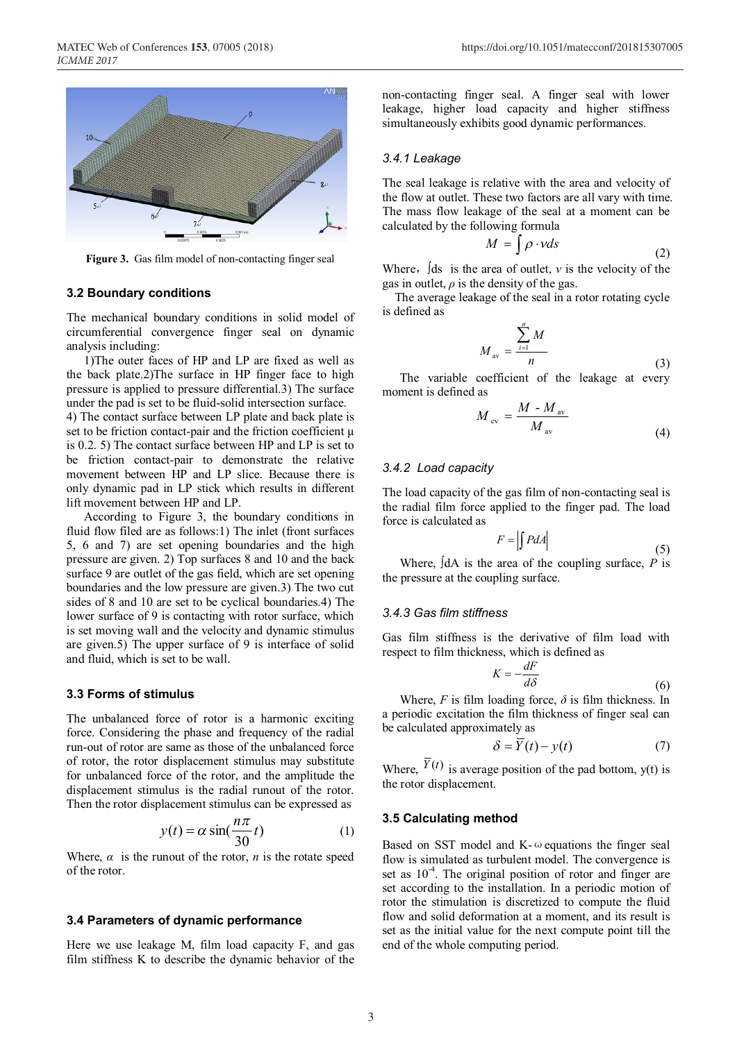

**Figure 3.** Gas film model of non-contacting finger seal

#### **3.2 Boundary conditions**

The mechanical boundary conditions in solid model of circumferential convergence finger seal on dynamic analysis including:

1)The outer faces of HP and LP are fixed as well as the back plate.2)The surface in HP finger face to high pressure is applied to pressure differential.3) The surface under the pad is set to be fluid-solid intersection surface.

4) The contact surface between LP plate and back plate is set to be friction contact-pair and the friction coefficient μ is 0.2. 5) The contact surface between HP and LP is set to be friction contact-pair to demonstrate the relative movement between HP and LP slice. Because there is only dynamic pad in LP stick which results in different lift movement between HP and LP.

According to Figure 3, the boundary conditions in fluid flow filed are as follows:1) The inlet (front surfaces 5, 6 and 7) are set opening boundaries and the high pressure are given. 2) Top surfaces 8 and 10 and the back surface 9 are outlet of the gas field, which are set opening boundaries and the low pressure are given.3) The two cut sides of 8 and 10 are set to be cyclical boundaries.4) The lower surface of 9 is contacting with rotor surface, which is set moving wall and the velocity and dynamic stimulus are given.5) The upper surface of 9 is interface of solid and fluid, which is set to be wall.

#### **3.3 Forms of stimulus**

The unbalanced force of rotor is a harmonic exciting force. Considering the phase and frequency of the radial run-out of rotor are same as those of the unbalanced force of rotor, the rotor displacement stimulus may substitute for unbalanced force of the rotor, and the amplitude the displacement stimulus is the radial runout of the rotor. Then the rotor displacement stimulus can be expressed as

$$
y(t) = \alpha \sin(\frac{n\pi}{30}t)
$$
 (1)

Where,  $\alpha$  is the runout of the rotor,  $n$  is the rotate speed of the rotor.

#### **3.4 Parameters of dynamic performance**

Here we use leakage M, film load capacity F, and gas film stiffness K to describe the dynamic behavior of the

non-contacting finger seal. A finger seal with lower leakage, higher load capacity and higher stiffness simultaneously exhibits good dynamic performances.

#### *3.4.1 Leakage*

The seal leakage is relative with the area and velocity of the flow at outlet. These two factors are all vary with time. The mass flow leakage of the seal at a moment can be calculated by the following formula

$$
M = \int \rho \cdot v \, ds \tag{2}
$$

Where,∫ds is the area of outlet, *v* is the velocity of the gas in outlet,  $\rho$  is the density of the gas.

The average leakage of the seal in a rotor rotating cycle is defined as

$$
M_{\rm av} = \frac{\sum_{i=1}^{n} M}{n} \tag{3}
$$

The variable coefficient of the leakage at every moment is defined as

$$
M_{\rm cv} = \frac{M - M_{\rm av}}{M_{\rm av}}\tag{4}
$$

#### *3.4.2 Load capacity*

The load capacity of the gas film of non-contacting seal is the radial film force applied to the finger pad. The load force is calculated as

$$
F = \left| \int P dA \right| \tag{5}
$$

Where, ∫dA is the area of the coupling surface, *P* is the pressure at the coupling surface.

#### *3.4.3 Gas film stiffness*

Gas film stiffness is the derivative of film load with respect to film thickness, which is defined as

$$
K = -\frac{dF}{d\delta} \tag{6}
$$

Where,  $F$  is film loading force,  $\delta$  is film thickness. In a periodic excitation the film thickness of finger seal can be calculated approximately as

$$
\delta = \overline{Y}(t) - y(t) \tag{7}
$$

Where,  $Y(t)$  is average position of the pad bottom,  $y(t)$  is the rotor displacement.

#### **3.5 Calculating method**

Based on SST model and K- $\omega$  equations the finger seal flow is simulated as turbulent model. The convergence is set as  $10^{-4}$ . The original position of rotor and finger are set according to the installation. In a periodic motion of rotor the stimulation is discretized to compute the fluid flow and solid deformation at a moment, and its result is set as the initial value for the next compute point till the end of the whole computing period.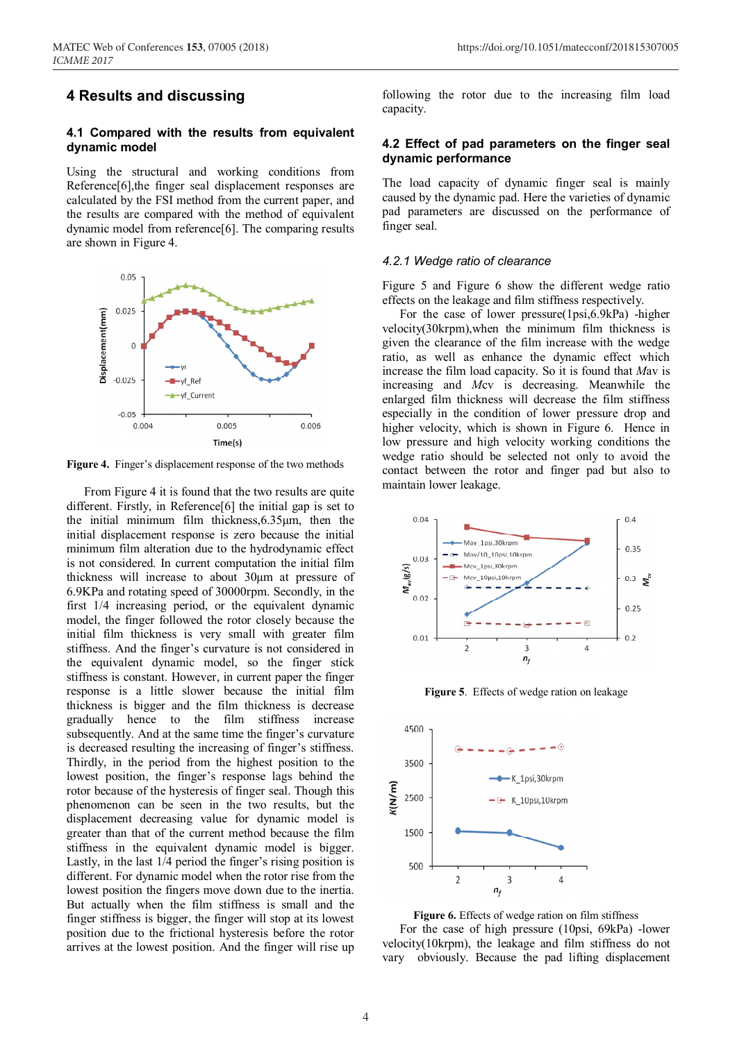# **4 Results and discussing**

#### **4.1 Compared with the results from equivalent dynamic model**

Using the structural and working conditions from Reference[6], the finger seal displacement responses are calculated by the FSI method from the current paper, and the results are compared with the method of equivalent dynamic model from reference[6]. The comparing results are shown in Figure 4.



**Figure 4.** Finger's displacement response of the two methods

From Figure 4 it is found that the two results are quite different. Firstly, in Reference[6] the initial gap is set to the initial minimum film thickness,6.35μm, then the initial displacement response is zero because the initial minimum film alteration due to the hydrodynamic effect is not considered. In current computation the initial film thickness will increase to about 30μm at pressure of 6.9KPa and rotating speed of 30000rpm. Secondly, in the first 1/4 increasing period, or the equivalent dynamic model, the finger followed the rotor closely because the initial film thickness is very small with greater film stiffness. And the finger's curvature is not considered in the equivalent dynamic model, so the finger stick stiffness is constant. However, in current paper the finger response is a little slower because the initial film thickness is bigger and the film thickness is decrease gradually hence to the film stiffness increase subsequently. And at the same time the finger's curvature is decreased resulting the increasing of finger's stiffness. Thirdly, in the period from the highest position to the lowest position, the finger's response lags behind the rotor because of the hysteresis of finger seal. Though this phenomenon can be seen in the two results, but the displacement decreasing value for dynamic model is greater than that of the current method because the film stiffness in the equivalent dynamic model is bigger. Lastly, in the last 1/4 period the finger's rising position is different. For dynamic model when the rotor rise from the lowest position the fingers move down due to the inertia. But actually when the film stiffness is small and the finger stiffness is bigger, the finger will stop at its lowest position due to the frictional hysteresis before the rotor arrives at the lowest position. And the finger will rise up

following the rotor due to the increasing film load capacity.

#### **4.2 Effect of pad parameters on the finger seal dynamic performance**

The load capacity of dynamic finger seal is mainly caused by the dynamic pad. Here the varieties of dynamic pad parameters are discussed on the performance of finger seal.

#### *4.2.1 Wedge ratio of clearance*

Figure 5 and Figure 6 show the different wedge ratio effects on the leakage and film stiffness respectively.

For the case of lower pressure(1psi,6.9kPa) -higher velocity(30krpm),when the minimum film thickness is given the clearance of the film increase with the wedge ratio, as well as enhance the dynamic effect which increase the film load capacity. So it is found that *M*av is increasing and *M*cv is decreasing. Meanwhile the enlarged film thickness will decrease the film stiffness especially in the condition of lower pressure drop and higher velocity, which is shown in Figure 6. Hence in low pressure and high velocity working conditions the wedge ratio should be selected not only to avoid the contact between the rotor and finger pad but also to maintain lower leakage.



**Figure 5**. Effects of wedge ration on leakage



**Figure 6.** Effects of wedge ration on film stiffness For the case of high pressure (10psi, 69kPa) -lower velocity(10krpm), the leakage and film stiffness do not vary obviously. Because the pad lifting displacement